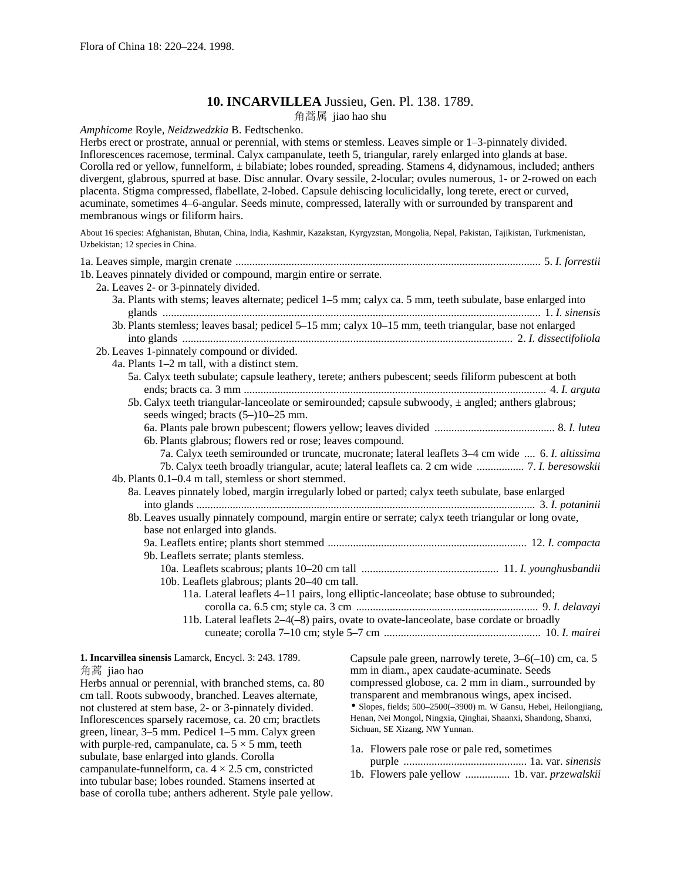# **10. INCARVILLEA** Jussieu, Gen. Pl. 138. 1789.

角蒿属 jiao hao shu

*Amphicome* Royle, *Neidzwedzkia* B. Fedtschenko.

Herbs erect or prostrate, annual or perennial, with stems or stemless. Leaves simple or 1–3-pinnately divided. Inflorescences racemose, terminal. Calyx campanulate, teeth 5, triangular, rarely enlarged into glands at base. Corolla red or yellow, funnelform, ± bilabiate; lobes rounded, spreading. Stamens 4, didynamous, included; anthers divergent, glabrous, spurred at base. Disc annular. Ovary sessile, 2-locular; ovules numerous, 1- or 2-rowed on each placenta. Stigma compressed, flabellate, 2-lobed. Capsule dehiscing loculicidally, long terete, erect or curved, acuminate, sometimes 4–6-angular. Seeds minute, compressed, laterally with or surrounded by transparent and membranous wings or filiform hairs.

About 16 species: Afghanistan, Bhutan, China, India, Kashmir, Kazakstan, Kyrgyzstan, Mongolia, Nepal, Pakistan, Tajikistan, Turkmenistan, Uzbekistan; 12 species in China.

| 1b. Leaves pinnately divided or compound, margin entire or serrate.                                              |                                                                                                                       |
|------------------------------------------------------------------------------------------------------------------|-----------------------------------------------------------------------------------------------------------------------|
| 2a. Leaves 2- or 3-pinnately divided.                                                                            |                                                                                                                       |
|                                                                                                                  | 3a. Plants with stems; leaves alternate; pedicel 1-5 mm; calyx ca. 5 mm, teeth subulate, base enlarged into           |
|                                                                                                                  | 3b. Plants stemless; leaves basal; pedicel 5-15 mm; calyx 10-15 mm, teeth triangular, base not enlarged               |
| 2b. Leaves 1-pinnately compound or divided.                                                                      |                                                                                                                       |
| 4a. Plants 1–2 m tall, with a distinct stem.                                                                     |                                                                                                                       |
|                                                                                                                  | 5a. Calyx teeth subulate; capsule leathery, terete; anthers pubescent; seeds filiform pubescent at both               |
|                                                                                                                  |                                                                                                                       |
|                                                                                                                  | 5b. Calyx teeth triangular-lanceolate or semirounded; capsule subwoody, ± angled; anthers glabrous;                   |
| seeds winged; bracts (5–)10–25 mm.                                                                               |                                                                                                                       |
|                                                                                                                  |                                                                                                                       |
| 6b. Plants glabrous; flowers red or rose; leaves compound.                                                       |                                                                                                                       |
|                                                                                                                  | 7a. Calyx teeth semirounded or truncate, mucronate; lateral leaflets 3–4 cm wide  6. I. altissima                     |
|                                                                                                                  | 7b. Calyx teeth broadly triangular, acute; lateral leaflets ca. 2 cm wide  7. I. beresowskii                          |
| 4b. Plants 0.1–0.4 m tall, stemless or short stemmed.                                                            |                                                                                                                       |
|                                                                                                                  | 8a. Leaves pinnately lobed, margin irregularly lobed or parted; calyx teeth subulate, base enlarged                   |
|                                                                                                                  |                                                                                                                       |
|                                                                                                                  | 8b. Leaves usually pinnately compound, margin entire or serrate; calyx teeth triangular or long ovate,                |
| base not enlarged into glands.                                                                                   |                                                                                                                       |
|                                                                                                                  |                                                                                                                       |
| 9b. Leaflets serrate; plants stemless.                                                                           |                                                                                                                       |
|                                                                                                                  |                                                                                                                       |
| 10b. Leaflets glabrous; plants 20–40 cm tall.                                                                    |                                                                                                                       |
| 11a. Lateral leaflets 4-11 pairs, long elliptic-lanceolate; base obtuse to subrounded;                           |                                                                                                                       |
|                                                                                                                  |                                                                                                                       |
|                                                                                                                  | 11b. Lateral leaflets 2-4(-8) pairs, ovate to ovate-lanceolate, base cordate or broadly                               |
|                                                                                                                  |                                                                                                                       |
| 1. Incarvillea sinensis Lamarck, Encycl. 3: 243. 1789.                                                           | Capsule pale green, narrowly terete, $3-6(-10)$ cm, ca. 5                                                             |
| 角蒿 jiao hao                                                                                                      | mm in diam., apex caudate-acuminate. Seeds                                                                            |
| Herbs annual or perennial, with branched stems, ca. 80                                                           | compressed globose, ca. 2 mm in diam., surrounded by                                                                  |
| cm tall. Roots subwoody, branched. Leaves alternate,                                                             | transparent and membranous wings, apex incised.<br>· Slopes, fields; 500-2500(-3900) m. W Gansu, Hebei, Heilongjiang, |
| not clustered at stem base, 2- or 3-pinnately divided.<br>Inflorescences sparsely racemose, ca. 20 cm; bractlets | Henan, Nei Mongol, Ningxia, Qinghai, Shaanxi, Shandong, Shanxi,                                                       |
| green, linear, 3–5 mm. Pedicel 1–5 mm. Calyx green                                                               | Sichuan, SE Xizang, NW Yunnan.                                                                                        |
| with purple-red, campanulate, ca. $5 \times 5$ mm, teeth                                                         |                                                                                                                       |
| subulate, base enlarged into glands. Corolla                                                                     | 1a. Flowers pale rose or pale red, sometimes                                                                          |
|                                                                                                                  |                                                                                                                       |

subulate, base enlarged into glands. Corolla campanulate-funnelform, ca.  $4 \times 2.5$  cm, constricted into tubular base; lobes rounded. Stamens inserted at base of corolla tube; anthers adherent. Style pale yellow.

1b. Flowers pale yellow ................ 1b. var. *przewalskii*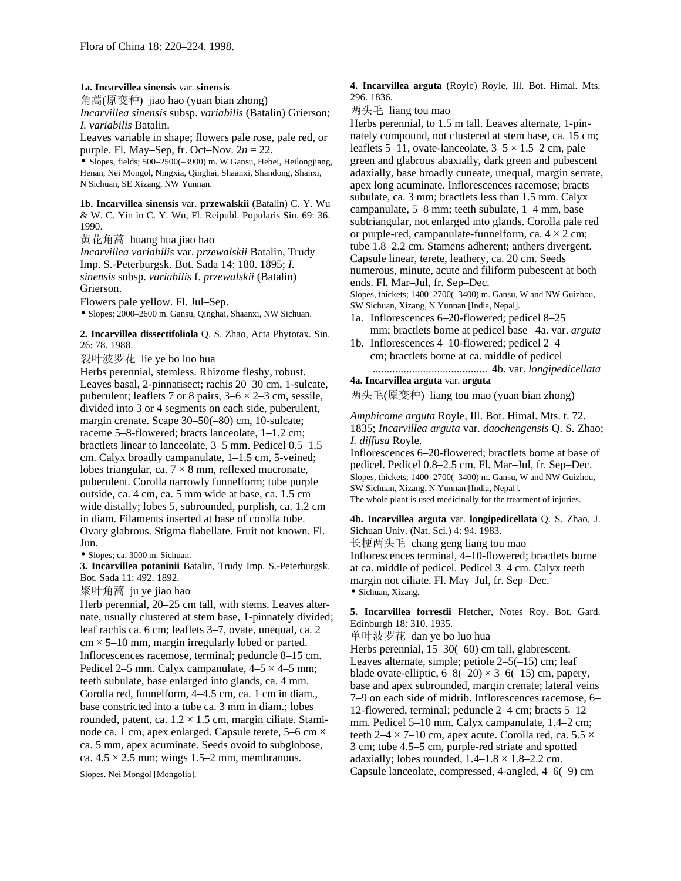#### **1a. Incarvillea sinensis** var. **sinensis**

角蒿(原变种) jiao hao (yuan bian zhong) *Incarvillea sinensis* subsp. *variabilis* (Batalin) Grierson;

*I. variabilis* Batalin.

Leaves variable in shape; flowers pale rose, pale red, or purple. Fl. May–Sep, fr. Oct–Nov. 2*n* = 22.

• Slopes, fields; 500–2500(–3900) m. W Gansu, Hebei, Heilongjiang, Henan, Nei Mongol, Ningxia, Qinghai, Shaanxi, Shandong, Shanxi, N Sichuan, SE Xizang, NW Yunnan.

**1b. Incarvillea sinensis** var. **przewalskii** (Batalin) C. Y. Wu & W. C. Yin in C. Y. Wu, Fl. Reipubl. Popularis Sin. 69: 36. 1990.

黄花角蒿 huang hua jiao hao *Incarvillea variabilis* var. *przewalskii* Batalin, Trudy Imp. S.-Peterburgsk. Bot. Sada 14: 180. 1895; *I. sinensis* subsp. *variabilis* f. *przewalskii* (Batalin) Grierson.

Flowers pale yellow. Fl. Jul–Sep.

• Slopes; 2000–2600 m. Gansu, Qinghai, Shaanxi, NW Sichuan.

### **2. Incarvillea dissectifoliola** Q. S. Zhao, Acta Phytotax. Sin. 26: 78. 1988.

裂叶波罗花 lie ye bo luo hua

Herbs perennial, stemless. Rhizome fleshy, robust. Leaves basal, 2-pinnatisect; rachis 20–30 cm, 1-sulcate, puberulent; leaflets 7 or 8 pairs,  $3-6 \times 2-3$  cm, sessile, divided into 3 or 4 segments on each side, puberulent, margin crenate. Scape 30–50(–80) cm, 10-sulcate; raceme 5–8-flowered; bracts lanceolate, 1–1.2 cm; bractlets linear to lanceolate, 3–5 mm. Pedicel 0.5–1.5 cm. Calyx broadly campanulate, 1–1.5 cm, 5-veined; lobes triangular, ca.  $7 \times 8$  mm, reflexed mucronate, puberulent. Corolla narrowly funnelform; tube purple outside, ca. 4 cm, ca. 5 mm wide at base, ca. 1.5 cm wide distally; lobes 5, subrounded, purplish, ca. 1.2 cm in diam. Filaments inserted at base of corolla tube. Ovary glabrous. Stigma flabellate. Fruit not known. Fl. Jun.

• Slopes; ca. 3000 m. Sichuan.

**3. Incarvillea potaninii** Batalin, Trudy Imp. S.-Peterburgsk. Bot. Sada 11: 492. 1892.

聚叶角蒿 ju ye jiao hao

Herb perennial, 20–25 cm tall, with stems. Leaves alternate, usually clustered at stem base, 1-pinnately divided; leaf rachis ca. 6 cm; leaflets 3–7, ovate, unequal, ca. 2  $cm \times 5{\text -}10$  mm, margin irregularly lobed or parted. Inflorescences racemose, terminal; peduncle 8–15 cm. Pedicel 2–5 mm. Calyx campanulate,  $4-5 \times 4-5$  mm; teeth subulate, base enlarged into glands, ca. 4 mm. Corolla red, funnelform, 4–4.5 cm, ca. 1 cm in diam., base constricted into a tube ca. 3 mm in diam.; lobes rounded, patent, ca.  $1.2 \times 1.5$  cm, margin ciliate. Staminode ca. 1 cm, apex enlarged. Capsule terete, 5–6 cm × ca. 5 mm, apex acuminate. Seeds ovoid to subglobose, ca.  $4.5 \times 2.5$  mm; wings 1.5–2 mm, membranous.

Slopes. Nei Mongol [Mongolia].

**4. Incarvillea arguta** (Royle) Royle, Ill. Bot. Himal. Mts. 296. 1836.

两头毛 liang tou mao

Herbs perennial, to 1.5 m tall. Leaves alternate, 1-pinnately compound, not clustered at stem base, ca. 15 cm; leaflets 5–11, ovate-lanceolate,  $3-5 \times 1.5$ –2 cm, pale green and glabrous abaxially, dark green and pubescent adaxially, base broadly cuneate, unequal, margin serrate, apex long acuminate. Inflorescences racemose; bracts subulate, ca. 3 mm; bractlets less than 1.5 mm. Calyx campanulate, 5–8 mm; teeth subulate, 1–4 mm, base subtriangular, not enlarged into glands. Corolla pale red or purple-red, campanulate-funnelform, ca.  $4 \times 2$  cm; tube 1.8–2.2 cm. Stamens adherent; anthers divergent. Capsule linear, terete, leathery, ca. 20 cm. Seeds numerous, minute, acute and filiform pubescent at both ends. Fl. Mar–Jul, fr. Sep–Dec.

Slopes, thickets; 1400–2700(–3400) m. Gansu, W and NW Guizhou, SW Sichuan, Xizang, N Yunnan [India, Nepal].

- 1a. Inflorescences 6–20-flowered; pedicel 8–25 mm; bractlets borne at pedicel base 4a. var. *arguta*
- 1b. Inflorescences 4–10-flowered; pedicel 2–4 cm; bractlets borne at ca. middle of pedicel ......................................... 4b. var. *longipedicellata*

## **4a. Incarvillea arguta** var. **arguta**

两头毛(原变种) liang tou mao (yuan bian zhong)

*Amphicome arguta* Royle, Ill. Bot. Himal. Mts. t. 72. 1835; *Incarvillea arguta* var. *daochengensis* Q. S. Zhao; *I. diffusa* Royle.

Inflorescences 6–20-flowered; bractlets borne at base of pedicel. Pedicel 0.8–2.5 cm. Fl. Mar–Jul, fr. Sep–Dec. Slopes, thickets; 1400–2700(–3400) m. Gansu, W and NW Guizhou, SW Sichuan, Xizang, N Yunnan [India, Nepal]. The whole plant is used medicinally for the treatment of injuries.

**4b. Incarvillea arguta** var. **longipedicellata** Q. S. Zhao, J. Sichuan Univ. (Nat. Sci.) 4: 94. 1983.

长梗两头毛 chang geng liang tou mao Inflorescences terminal, 4–10-flowered; bractlets borne at ca. middle of pedicel. Pedicel 3–4 cm. Calyx teeth margin not ciliate. Fl. May–Jul, fr. Sep–Dec.

• Sichuan, Xizang.

**5. Incarvillea forrestii** Fletcher, Notes Roy. Bot. Gard. Edinburgh 18: 310. 1935.

单叶波罗花 dan ye bo luo hua

Herbs perennial, 15–30(–60) cm tall, glabrescent. Leaves alternate, simple; petiole 2–5(–15) cm; leaf blade ovate-elliptic,  $6-8(-20) \times 3-6(-15)$  cm, papery, base and apex subrounded, margin crenate; lateral veins 7–9 on each side of midrib. Inflorescences racemose, 6– 12-flowered, terminal; peduncle 2–4 cm; bracts 5–12 mm. Pedicel 5–10 mm. Calyx campanulate, 1.4–2 cm; teeth  $2-4 \times 7-10$  cm, apex acute. Corolla red, ca.  $5.5 \times$ 3 cm; tube 4.5–5 cm, purple-red striate and spotted adaxially; lobes rounded,  $1.4-1.8 \times 1.8-2.2$  cm. Capsule lanceolate, compressed, 4-angled, 4–6(–9) cm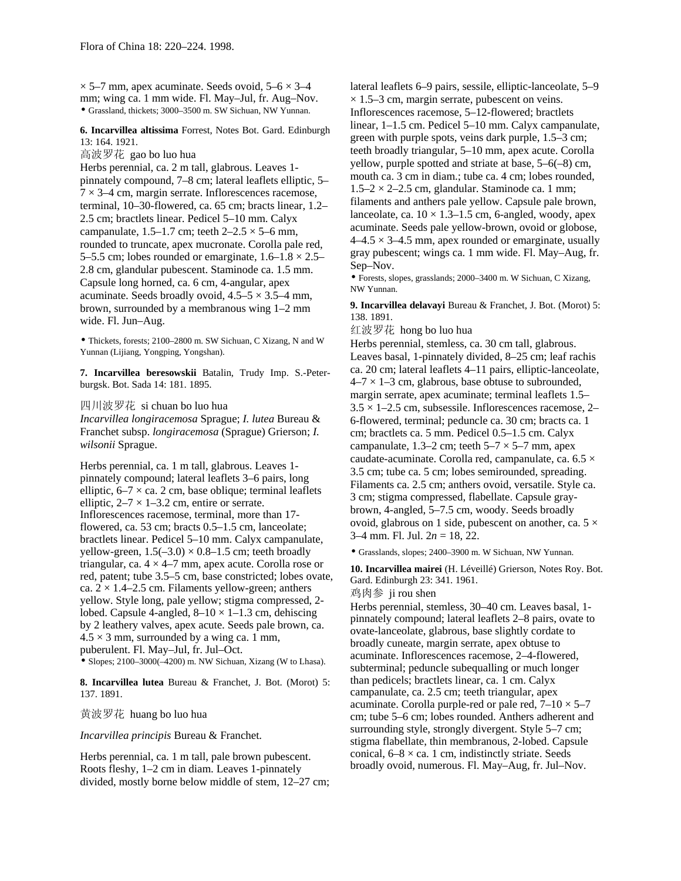$\times$  5–7 mm, apex acuminate. Seeds ovoid, 5–6  $\times$  3–4 mm; wing ca. 1 mm wide. Fl. May–Jul, fr. Aug–Nov. • Grassland, thickets; 3000–3500 m. SW Sichuan, NW Yunnan.

**6. Incarvillea altissima** Forrest, Notes Bot. Gard. Edinburgh 13: 164. 1921.

高波罗花 gao bo luo hua

Herbs perennial, ca. 2 m tall, glabrous. Leaves 1 pinnately compound, 7–8 cm; lateral leaflets elliptic, 5–  $7 \times 3$ –4 cm, margin serrate. Inflorescences racemose, terminal, 10–30-flowered, ca. 65 cm; bracts linear, 1.2– 2.5 cm; bractlets linear. Pedicel 5–10 mm. Calyx campanulate,  $1.5-1.7$  cm; teeth  $2-2.5 \times 5-6$  mm, rounded to truncate, apex mucronate. Corolla pale red, 5–5.5 cm; lobes rounded or emarginate,  $1.6-1.8 \times 2.5-$ 2.8 cm, glandular pubescent. Staminode ca. 1.5 mm. Capsule long horned, ca. 6 cm, 4-angular, apex acuminate. Seeds broadly ovoid,  $4.5-5 \times 3.5-4$  mm, brown, surrounded by a membranous wing 1–2 mm wide. Fl. Jun–Aug.

• Thickets, forests; 2100–2800 m. SW Sichuan, C Xizang, N and W Yunnan (Lijiang, Yongping, Yongshan).

**7. Incarvillea beresowskii** Batalin, Trudy Imp. S.-Peterburgsk. Bot. Sada 14: 181. 1895.

四川波罗花 si chuan bo luo hua

*Incarvillea longiracemosa* Sprague; *I. lutea* Bureau & Franchet subsp. *longiracemosa* (Sprague) Grierson; *I. wilsonii* Sprague.

Herbs perennial, ca. 1 m tall, glabrous. Leaves 1 pinnately compound; lateral leaflets 3–6 pairs, long elliptic,  $6-7 \times$  ca. 2 cm, base oblique; terminal leaflets elliptic,  $2-7 \times 1-3.2$  cm, entire or serrate. Inflorescences racemose, terminal, more than 17 flowered, ca. 53 cm; bracts 0.5–1.5 cm, lanceolate; bractlets linear. Pedicel 5–10 mm. Calyx campanulate, yellow-green,  $1.5(-3.0) \times 0.8$ –1.5 cm; teeth broadly triangular, ca.  $4 \times 4 - 7$  mm, apex acute. Corolla rose or red, patent; tube 3.5–5 cm, base constricted; lobes ovate, ca.  $2 \times 1.4$ –2.5 cm. Filaments yellow-green; anthers yellow. Style long, pale yellow; stigma compressed, 2 lobed. Capsule 4-angled,  $8-10 \times 1-1.3$  cm, dehiscing by 2 leathery valves, apex acute. Seeds pale brown, ca.  $4.5 \times 3$  mm, surrounded by a wing ca. 1 mm, puberulent. Fl. May–Jul, fr. Jul–Oct.

• Slopes;  $2100-3000(-4200)$  m. NW Sichuan, Xizang (W to Lhasa).

**8. Incarvillea lutea** Bureau & Franchet, J. Bot. (Morot) 5: 137. 1891.

黄波罗花 huang bo luo hua

*Incarvillea principis* Bureau & Franchet.

Herbs perennial, ca. 1 m tall, pale brown pubescent. Roots fleshy, 1–2 cm in diam. Leaves 1-pinnately divided, mostly borne below middle of stem, 12–27 cm; lateral leaflets 6–9 pairs, sessile, elliptic-lanceolate, 5–9  $\times$  1.5–3 cm, margin serrate, pubescent on veins. Inflorescences racemose, 5–12-flowered; bractlets linear, 1–1.5 cm. Pedicel 5–10 mm. Calyx campanulate, green with purple spots, veins dark purple, 1.5–3 cm; teeth broadly triangular, 5–10 mm, apex acute. Corolla yellow, purple spotted and striate at base, 5–6(–8) cm, mouth ca. 3 cm in diam.; tube ca. 4 cm; lobes rounded,  $1.5-2 \times 2-2.5$  cm, glandular. Staminode ca. 1 mm; filaments and anthers pale yellow. Capsule pale brown, lanceolate, ca.  $10 \times 1.3$ –1.5 cm, 6-angled, woody, apex acuminate. Seeds pale yellow-brown, ovoid or globose,  $4-4.5 \times 3-4.5$  mm, apex rounded or emarginate, usually gray pubescent; wings ca. 1 mm wide. Fl. May–Aug, fr. Sep–Nov.

• Forests, slopes, grasslands; 2000–3400 m. W Sichuan, C Xizang, NW Yunnan.

**9. Incarvillea delavayi** Bureau & Franchet, J. Bot. (Morot) 5: 138. 1891.

红波罗花 hong bo luo hua

Herbs perennial, stemless, ca. 30 cm tall, glabrous. Leaves basal, 1-pinnately divided, 8–25 cm; leaf rachis ca. 20 cm; lateral leaflets 4–11 pairs, elliptic-lanceolate,  $4-7 \times 1-3$  cm, glabrous, base obtuse to subrounded, margin serrate, apex acuminate; terminal leaflets 1.5–  $3.5 \times 1 - 2.5$  cm, subsessile. Inflorescences racemose, 2-6-flowered, terminal; peduncle ca. 30 cm; bracts ca. 1 cm; bractlets ca. 5 mm. Pedicel 0.5–1.5 cm. Calyx campanulate, 1.3–2 cm; teeth  $5-7 \times 5-7$  mm, apex caudate-acuminate. Corolla red, campanulate, ca. 6.5 × 3.5 cm; tube ca. 5 cm; lobes semirounded, spreading. Filaments ca. 2.5 cm; anthers ovoid, versatile. Style ca. 3 cm; stigma compressed, flabellate. Capsule graybrown, 4-angled, 5–7.5 cm, woody. Seeds broadly ovoid, glabrous on 1 side, pubescent on another, ca.  $5 \times$ 3–4 mm. Fl. Jul. 2*n* = 18, 22.

• Grasslands, slopes; 2400–3900 m. W Sichuan, NW Yunnan.

**10. Incarvillea mairei** (H. Léveillé) Grierson, Notes Roy. Bot. Gard. Edinburgh 23: 341. 1961.

鸡肉参 ji rou shen

Herbs perennial, stemless, 30–40 cm. Leaves basal, 1 pinnately compound; lateral leaflets 2–8 pairs, ovate to ovate-lanceolate, glabrous, base slightly cordate to broadly cuneate, margin serrate, apex obtuse to acuminate. Inflorescences racemose, 2–4-flowered, subterminal; peduncle subequalling or much longer than pedicels; bractlets linear, ca. 1 cm. Calyx campanulate, ca. 2.5 cm; teeth triangular, apex acuminate. Corolla purple-red or pale red,  $7-10 \times 5-7$ cm; tube 5–6 cm; lobes rounded. Anthers adherent and surrounding style, strongly divergent. Style 5–7 cm; stigma flabellate, thin membranous, 2-lobed. Capsule conical,  $6-8 \times$  ca. 1 cm, indistinctly striate. Seeds broadly ovoid, numerous. Fl. May–Aug, fr. Jul–Nov.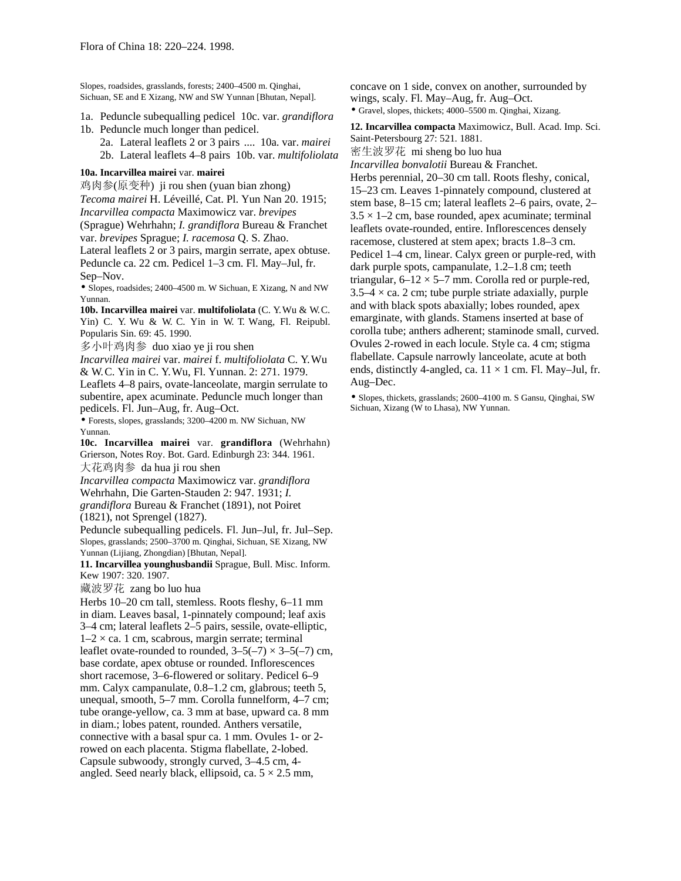Slopes, roadsides, grasslands, forests; 2400–4500 m. Qinghai, Sichuan, SE and E Xizang, NW and SW Yunnan [Bhutan, Nepal].

- 1a. Peduncle subequalling pedicel 10c. var. *grandiflora* 1b. Peduncle much longer than pedicel.
	- 2a. Lateral leaflets 2 or 3 pairs .... 10a. var. *mairei* 2b. Lateral leaflets 4–8 pairs 10b. var. *multifoliolata*

### **10a. Incarvillea mairei** var. **mairei**

鸡肉参(原变种) ji rou shen (yuan bian zhong) *Tecoma mairei* H. Léveillé, Cat. Pl. Yun Nan 20. 1915; *Incarvillea compacta* Maximowicz var. *brevipes* (Sprague) Wehrhahn; *I. grandiflora* Bureau & Franchet var. *brevipes* Sprague; *I. racemosa* Q. S. Zhao.

Lateral leaflets 2 or 3 pairs, margin serrate, apex obtuse. Peduncle ca. 22 cm. Pedicel 1–3 cm. Fl. May–Jul, fr. Sep–Nov.

• Slopes, roadsides; 2400–4500 m. W Sichuan, E Xizang, N and NW Yunnan.

**10b. Incarvillea mairei** var. **multifoliolata** (C. Y. Wu & W. C. Yin) C. Y. Wu & W. C. Yin in W. T. Wang, Fl. Reipubl. Popularis Sin. 69: 45. 1990.

多小叶鸡肉参 duo xiao ye ji rou shen

*Incarvillea mairei* var. *mairei* f. *multifoliolata* C. Y. Wu & W. C. Yin in C. Y. Wu, Fl. Yunnan. 2: 271. 1979.

Leaflets 4–8 pairs, ovate-lanceolate, margin serrulate to subentire, apex acuminate. Peduncle much longer than pedicels. Fl. Jun–Aug, fr. Aug–Oct.

• Forests, slopes, grasslands; 3200–4200 m. NW Sichuan, NW Yunnan.

**10c. Incarvillea mairei** var. **grandiflora** (Wehrhahn) Grierson, Notes Roy. Bot. Gard. Edinburgh 23: 344. 1961.

大花鸡肉参 da hua ji rou shen

*Incarvillea compacta* Maximowicz var. *grandiflora*  Wehrhahn, Die Garten-Stauden 2: 947. 1931; *I.* 

*grandiflora* Bureau & Franchet (1891), not Poiret (1821), not Sprengel (1827).

Peduncle subequalling pedicels. Fl. Jun–Jul, fr. Jul–Sep. Slopes, grasslands; 2500–3700 m. Qinghai, Sichuan, SE Xizang, NW Yunnan (Lijiang, Zhongdian) [Bhutan, Nepal].

**11. Incarvillea younghusbandii** Sprague, Bull. Misc. Inform. Kew 1907: 320. 1907.

藏波罗花 zang bo luo hua

Herbs 10–20 cm tall, stemless. Roots fleshy, 6–11 mm in diam. Leaves basal, 1-pinnately compound; leaf axis 3–4 cm; lateral leaflets 2–5 pairs, sessile, ovate-elliptic,  $1-2 \times$  ca. 1 cm, scabrous, margin serrate; terminal leaflet ovate-rounded to rounded,  $3-5(-7) \times 3-5(-7)$  cm, base cordate, apex obtuse or rounded. Inflorescences short racemose, 3–6-flowered or solitary. Pedicel 6–9 mm. Calyx campanulate, 0.8–1.2 cm, glabrous; teeth 5, unequal, smooth, 5–7 mm. Corolla funnelform, 4–7 cm; tube orange-yellow, ca. 3 mm at base, upward ca. 8 mm in diam.; lobes patent, rounded. Anthers versatile, connective with a basal spur ca. 1 mm. Ovules 1- or 2 rowed on each placenta. Stigma flabellate, 2-lobed. Capsule subwoody, strongly curved, 3–4.5 cm, 4 angled. Seed nearly black, ellipsoid, ca.  $5 \times 2.5$  mm,

concave on 1 side, convex on another, surrounded by wings, scaly. Fl. May–Aug, fr. Aug–Oct. • Gravel, slopes, thickets; 4000–5500 m. Qinghai, Xizang.

**12. Incarvillea compacta** Maximowicz, Bull. Acad. Imp. Sci. Saint-Petersbourg 27: 521. 1881. 密生波罗花 mi sheng bo luo hua *Incarvillea bonvalotii* Bureau & Franchet. Herbs perennial, 20–30 cm tall. Roots fleshy, conical, 15–23 cm. Leaves 1-pinnately compound, clustered at stem base, 8–15 cm; lateral leaflets 2–6 pairs, ovate, 2–  $3.5 \times 1-2$  cm, base rounded, apex acuminate; terminal leaflets ovate-rounded, entire. Inflorescences densely racemose, clustered at stem apex; bracts 1.8–3 cm. Pedicel 1–4 cm, linear. Calyx green or purple-red, with dark purple spots, campanulate, 1.2–1.8 cm; teeth triangular,  $6-12 \times 5-7$  mm. Corolla red or purple-red,  $3.5-4 \times$  ca. 2 cm; tube purple striate adaxially, purple and with black spots abaxially; lobes rounded, apex emarginate, with glands. Stamens inserted at base of corolla tube; anthers adherent; staminode small, curved. Ovules 2-rowed in each locule. Style ca. 4 cm; stigma flabellate. Capsule narrowly lanceolate, acute at both ends, distinctly 4-angled, ca.  $11 \times 1$  cm. Fl. May–Jul, fr. Aug–Dec.

• Slopes, thickets, grasslands; 2600–4100 m. S Gansu, Qinghai, SW Sichuan, Xizang (W to Lhasa), NW Yunnan.